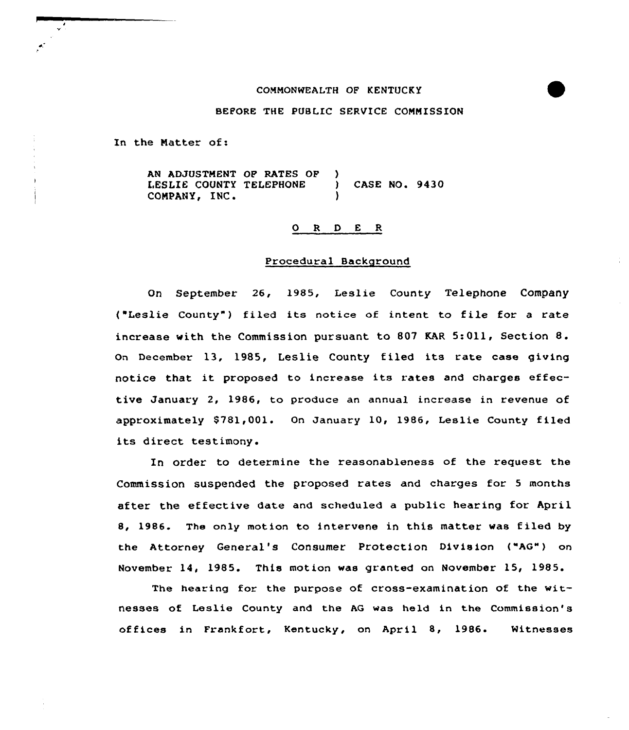### CONNONWEALTH OF KENTUCKY



## BEFORE THE PUBLIC SERVICE COMMISSION

In the Natter of:

AN ADJUSTNENT OF RATES OF LESLIE COUNTY TELEPHONE COMPANY, INC. ) CASE NO. 9430

### 0 <sup>R</sup> <sup>D</sup> E R

### Procedural Background

On September 26, 1985, Leslie County Telephone Company ("Leslie County") filed its notice of intent to file for a rate increase with the Commission pursuant to <sup>807</sup> KAR 5:011, Section 8. On December 13, 1985, Leslie County filed its rate case giving notice that. it proposed to increase its rates and charges effective January 2, 1986, to produce an annual increase in revenue of approximately \$781,001. On January 10, 1986, Leslie County filed its direct testimony.

In order to determine the reasonableness of the request the Commission suspended the proposed rates and charges for <sup>5</sup> months after the effective date and scheduled a public hearing for April 8, 1986. The only motion to intervene in this matter was filed by the Attorney General's Consumer Protection Division ("AG") on November 14, 1985. This motion was granted on November 15, 1985.

The hearing for the purpose of cross-examination of the witnesses of Leslie County and the AG was held in the Commission's offices in Frankfort, Kentucky, on April 8, 1986. Witnesses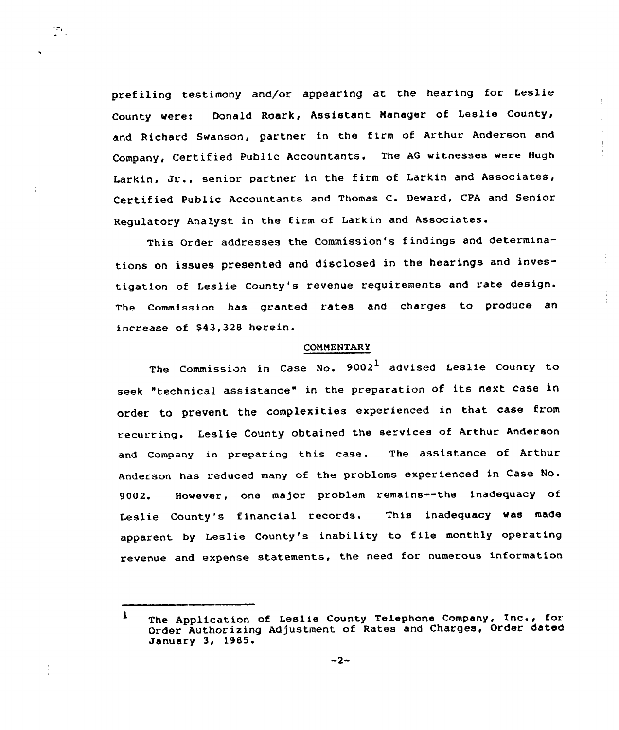prefiling testimony and/or appearing at the hearing for Leslie County were: Donald Roark, Assistant Nanager of Leslie County, and Richard Swanson, partner in the firm of Arthur Anderson and Company, Certified Public Accountants. The AG witnesses were Hugh Larkin, Jr., senior partner in the firm of Larkin and Associates, Certified Public Accountants and Thomas C. Deward, CPA and Senior Regulatory Analyst in the firm of Larkin and Associates.

тт.,

This Order addresses the Commission's find'ngs and determinations on issues presented and disclosed in the hearings and investigation of Leslie County's revenue requirements and rate design. The Commission has granted rates and charges to produce an increase of \$43,328 herein.

# COMMENTARY

The Commission in Case No.  $9002^{\bf 1}$  advised Leslie County to seek "technical assistance" in the preparation of its next case in order to prevent the complexities experienced in that case from recurring. Leslie County obtained the services of Arthur. Anderson and Company in preparing this case. The assistance of Arthur Anderson has reduced many of the problems experienced in Case No. 9002. However, one major problem remains--the inadequacy of Leslie County's financial records. This inadequacy was made apparent by Leslie County's inability to file monthly operating revenue and expense statements, the need for numerous information

 $1$  The Application of Leslie County Telephone Company, Inc., for Order Authorizing Adjustment of Rates and Charges, Order dated January 3, 1985.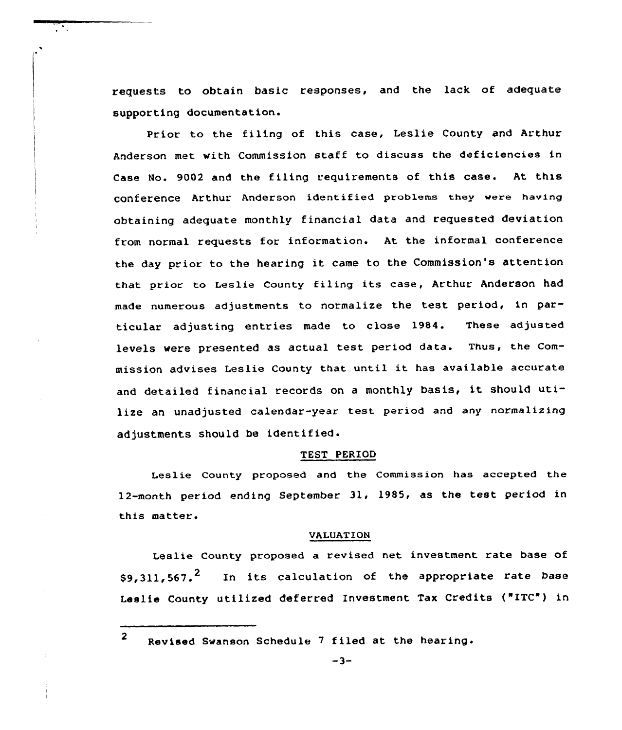requests to obtain basic responses, and the lack of adequate supporting documentation.

Prior to the filing of this case, Leslie County and Arthur Anderson met with Commission statf to discuss the deficiencies in Case No. 9002 and the filing requirements of this case. At this conference Arthur Anderson identified problems they were having obtaining adequate monthly financial data and requested deviation from normal requests for information. At the informal conference the day prior to the hearing it came to the Commission's attention that prior to Leslie county filing its case, Arthur Anderson had made numerous adjustments to normalize the test period, in particular adjusting entries made to close 1984. These adjusted levels were presented as actual test period data. Thus, the commission advises Leslie County that until it has available accurate and detailed financial records on a monthly basis, it should utilize an unadjusted calendar-year test period and any normalizing adjustments should be identified.

### TEST PERIOD

Leslie County proposed and the Commission has accepted the 12-month period ending September 31, 1985, as the test period in this matter.

### VALUATION

Leslie County proposed a revised net investment rate base of  $$9,311,567.$ <sup>2</sup> In its calculation of the appropriate rate base Leslie County utilized deferred Investment Tax Credits ("ITC") in

<sup>2</sup> Revised Swanson Schedule <sup>7</sup> filed at the hearing.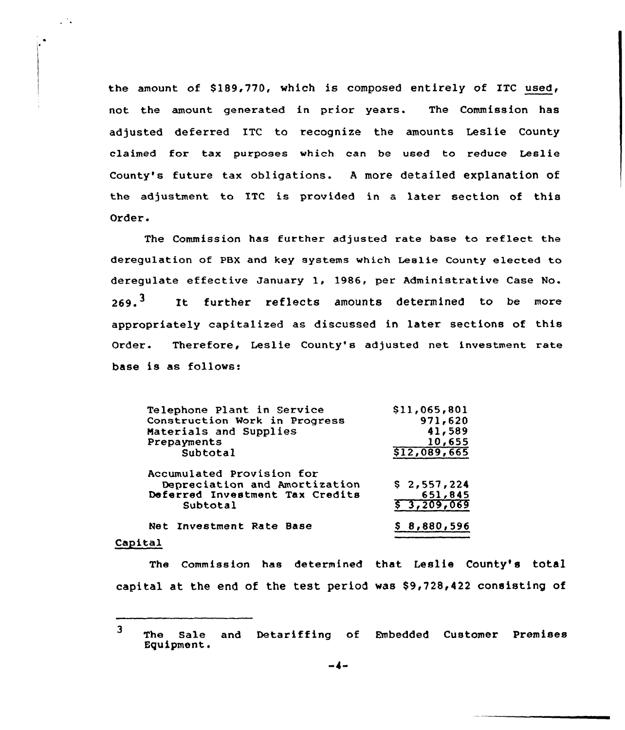the amount of \$189,770, which is composed entirely of ITC used, not the amount generated in prior years. The Commission has adjusted deferred ITC to recognize the amounts Leslie County claimed for tax purposes which can be used to reduce Leslie County's future tax obligations. <sup>A</sup> more detailed explanation of the adjustment to ITC is provided in a later section of this Order.

The Commission has further adjusted rate base to reflect the deregulation of PBX and key systems which Lealie County elected to deregulate effective January 1, 1986, per Administrative Case No.  $269.$ <sup>3</sup> It further reflects amounts determined to be more appropriately capitalized as discussed in later sections of this Order. Therefore, Leslie County's adjusted net investment rate base is as follows:

| Telephone Plant in Service      | \$11,065,801 |
|---------------------------------|--------------|
| Construction Work in Progress   | 971,620      |
| Materials and Supplies          | 41,589       |
| Prepayments                     | 10,655       |
| Subtotal                        | \$12,089,665 |
| Accumulated Provision for       |              |
| Depreciation and Amortization   | \$2,557,224  |
| Deferred Investment Tax Credits | 651,845      |
| Subtotal                        | \$ 3,209,069 |
| Net Investment Rate Base        | \$8,880,596  |
| $1 + -1$                        |              |

#### Capital

 $\mathcal{L}^{\mathcal{L}}$  .

The Commission has determined that Leslie County's total capital at the end of the test period was \$9,728,422 consisting of

<sup>3</sup> The Sale and Detariffing of Embedded Customer Premises Equipment.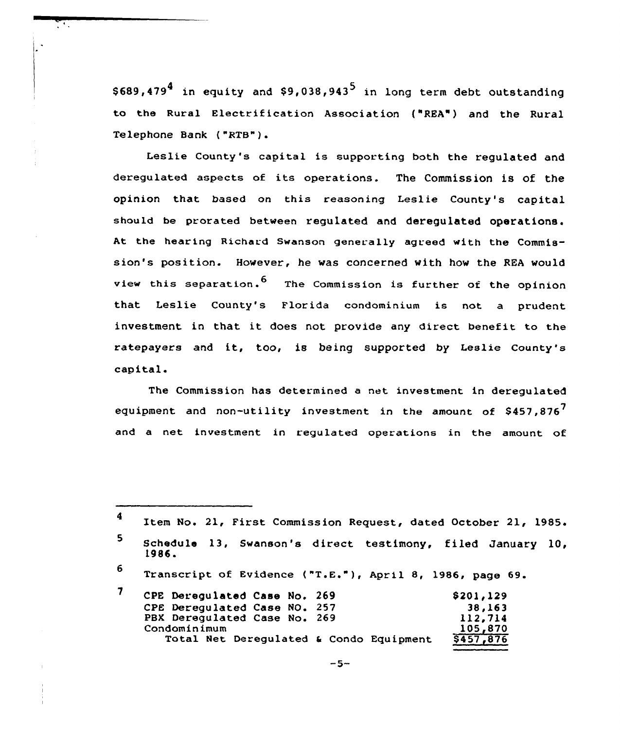\$689,479<sup>4</sup> in equity and \$9,038,943<sup>5</sup> in long term debt outstanding to the Rural Electrification Association {"REA") and the Rural Telephone Bank {"RTB"}

Leslie County's capital is supporting both the regulated and deregulated aspects of its operations. The Commission is of the opinion that based on this reasoning Leslie County's capital should be prorated between requiated and derequiated operations. At the hearing Richard Swanson generally agreed with the Commission's position. However, he was concerned with how the REA would view this separation.<sup>6</sup> The Commission is further of the opinion that Leslie County's Florida condominium is not a prudent investment in that it does not provide any direct benefit to the ratepayers and it, too, is being supported by Leslie County's capital.

The Commission has determined a net investment in deregulated equipment and non-utility investment in the amount of  $$457,876$ and a net investment in regulated operations in the amount of

<sup>6</sup> Transcript of Evidence ("T.E."), April 8, 1986, page 69.

| CPE Deregulated Case No. 269            | \$201,129 |
|-----------------------------------------|-----------|
| CPE Derequlated Case NO. 257            | 38,163    |
| PBX Deregulated Case No. 269            | 112,714   |
| Condominimum                            | 105,870   |
| Total Net Deregulated & Condo Equipment | \$457,876 |

 $\blacktriangleleft$ Item No. 21, First Commission Request, dated October 21, 1985.  $5\phantom{a}$ Schedule 13, Swanson's direct testimony, filed January 10, 1986 <sup>~</sup>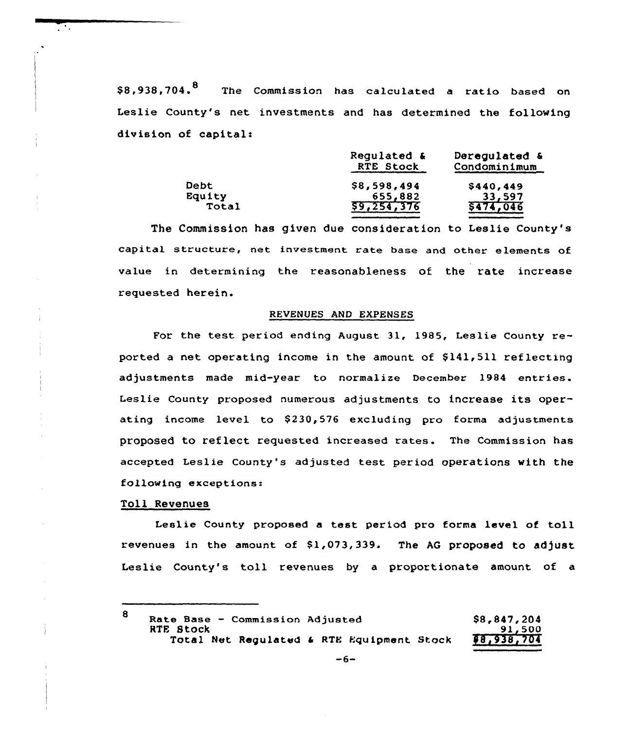\$8,938,704.<sup>8</sup> The Commission has calculated a ratio based on Leslie County's net investments and has determined the following division of capital:

|             | Regulated &<br>RTE Stock | Deregulated &<br>Condominimum |  |  |
|-------------|--------------------------|-------------------------------|--|--|
| <b>Debt</b> | \$8,598,494              | \$440,449                     |  |  |
| Equity      | 655,882                  | 33,597                        |  |  |
| Total       | 59,254,376               | 5474,046                      |  |  |

The Commission has given due consideration to Leslie County's capital structure, net investment rate base and other elements of value in determining the reasonableness of the rate increase requested herein.

### REVENUES AND EXPENSES

For the test period ending August 31, 1985, Leslie County reported a net operating income in the amount of  $$141,511$  reflecting adjustments made mid-year to normalize December 1984 entries. Leslie County proposed numerous adjustments to increase its operating income level to \$230,576 excluding pro forma adjustments proposed to reflect requested increased rates. The Commission has accepted Leslie County's adjusted test period operations with the following exceptions:

### Toll Revenues

Leslie County proposed a test period pro forma level of toll revenues in the amount of 81,073,339. The AG proposed to adjust Leslie County's toll revenues by <sup>a</sup> proportionate amount of <sup>a</sup>

| 8 | Rate Base - Commission Adjusted           |  |  | \$8,847,204 |
|---|-------------------------------------------|--|--|-------------|
|   | RTE Stock                                 |  |  | 91,500      |
|   | Total Net Regulated & RTE Equipment Stock |  |  | 88,938,704  |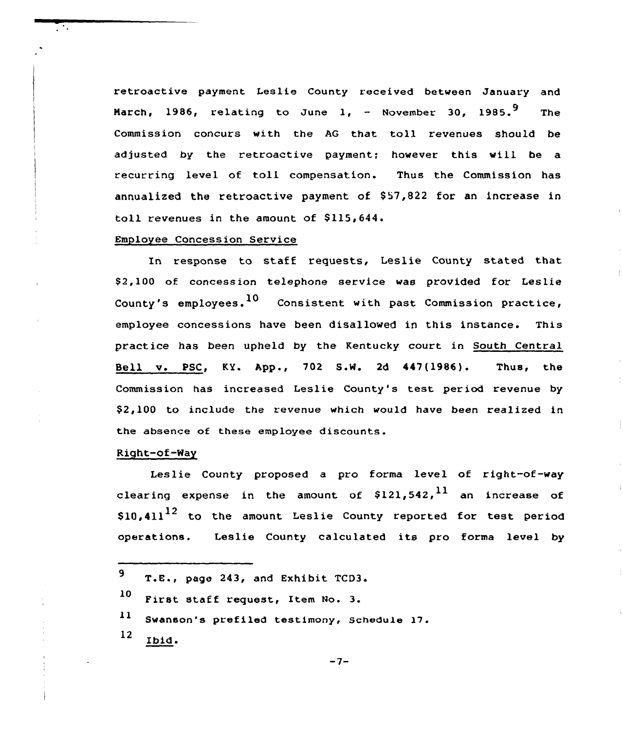retroactive payment Leslie County received between January and March, 1986, relating to June 1,  $-$  November 30, 1985.<sup>9</sup> The Commission concurs with the AG that toll revenues should be adjusted by the retroactive payment; however this will be a recurring level of toll compensation. Thus the Commission has annualized the retroactive payment of  $$57,822$  for an increase in toll revenues in the amount of \$115,644.

# Employee Concession Service

In response to staff requests, Leslie County stated that \$ 2,100 of concession telephone service was provided for Leslie County's employees.  $10$  Consistent with past Commission practice, employee concessions have been disallowed in this instance. This practice has been upheld by the Kentucky court in South Central Bell v. PSC, KY. App., 702 S.W. 2d 447(1986). Thus, the Commission has increased Leslie County's test period revenue by \$ 2,100 to include the revenue which would have been realized in the absence of these employee discounts.

## Right-of-Way

Leslie County proposed a pro forma level of right-of-wa clearing expense in the amount of \$121,542, $^{\mathrm{11}}$  an increase of  $\$10$ ,4 $11^{12}$  to the amount Leslie County reported for test period operations. Leslie County calculated its pro forma level by

| $9$ T.E., page 243, and Exhibit TCD3.         |
|-----------------------------------------------|
| 10 First staff request, Item No. 3.           |
| 11 Swanson's prefiled testimony, Schedule 17. |
| $12$ Ibid.                                    |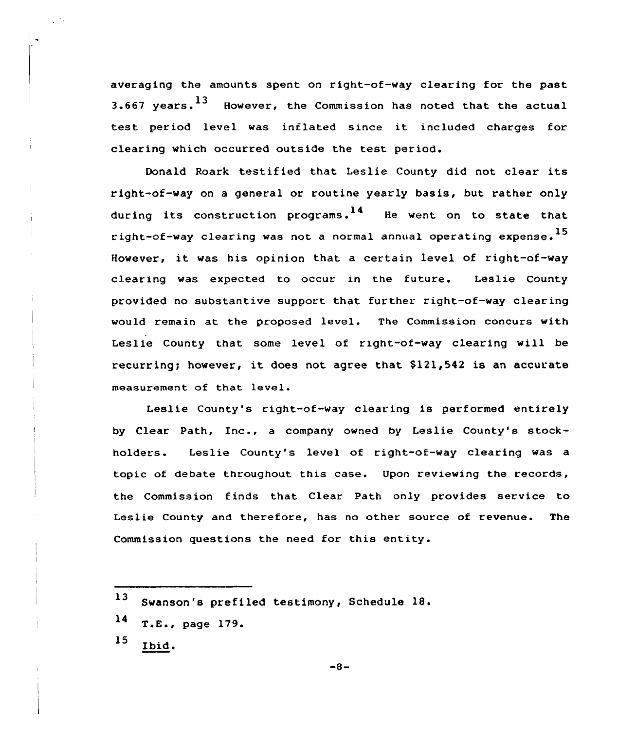averaging the amounts spent on right-of-way clearing for the past 3.667 vears.  $^{13}$  However, the Commission has noted that the actual test period level was inflated since it included charges for clearing which occurred outside the test period.

Donald Roark testified that Leslie County did not clear its right-of-way on a general or routine yearly basis, but rather only during its construction programs.  $14$  He went on to state that right-of-way clearing was not a normal annual operating expense. $^{\rm 15}$ However, it was his opinion that <sup>a</sup> certain level of right-of-way clearing was expected to occur in the future. Leslie County provided no substantive support that further right-of-way clearing would remain at the proposed level. The Commission concurs with Leslie County that some level of right-of-way clearing will be recurring; however, it does not agree that \$121,542 is an accurate measurement of that level.

Leslie County's right-of-way clearing is performed entirely by Clear Path, Inc., <sup>a</sup> company owned by Leslie County's stockholders. Leslie County's level of right-of-way clearing was a topic of debate throughout this case. Upon reviewing the records, the Commission finds that Clear Path only provides service to Leslie County and therefore, has no other source of revenue. The Commission questions the need for this entity.

15 Ibid.

 $13$ Swanson's prefiled testimony, Schedule 18.

<sup>14</sup>  $T.E., page 179.$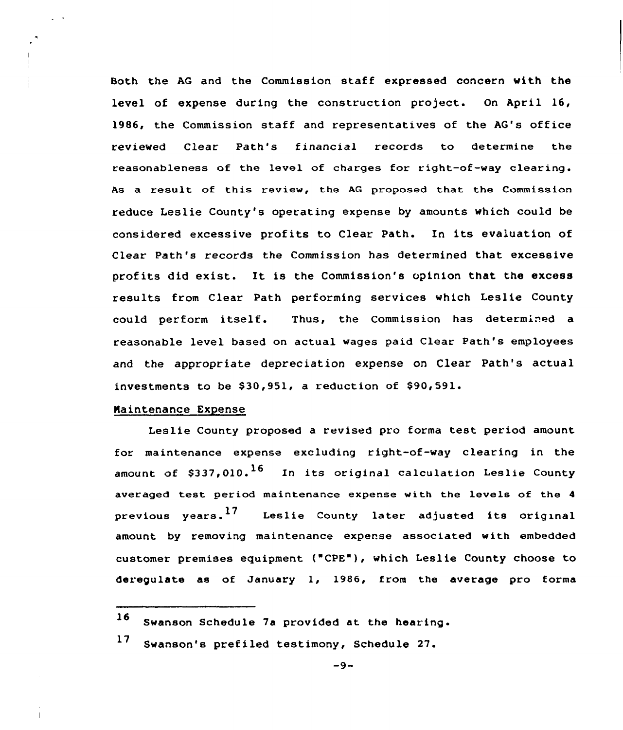Both the AG and the Commission staff expressed concern with the level of expense during the construction project. On April 16, 1986, the Commission staff and representatives of the AG's office reviewed Clear Path's financial records to determine the reasonableness of the level of charges for right-of-way clearing. As a result of this review, the AG proposed that the Commission reduce Leslie County's operating expense by amounts which could be considered excessive profits to Clear Path. In its evaluation of Clear Path's records the Commission has determined that excessive profits did exist. It is the Commission's opinion that the excess results from Clear Path performing services which Leslie County could perform itself. Thus, the Commission has determined a reasonable level based on actual wages paid Clear Path's employees and the appropriate depreciation expense on Clear Path's actual investments to be \$30,951, a reduction of \$90,591.

### Naintenance Expense

Leslie County proposed a revised pro forma test period amount for maintenance expense excluding right-of-way clearing in the amount of \$337,010.<sup>16</sup> In its original calculation Leslie County averaged test period maintenance expense with the levels of the <sup>4</sup> previous years.<sup>17</sup> Leslie County later adjusted its original amount by removing maintenance expense associated with embedded customer premises equipment ("CPE"), which Leslie County choose to deregulate as of January 1, 1986, from the average pro forma

<sup>16</sup> Swanson Schedule 7a provided at the hearing.

 $17$ Swanson's prefiled testimony, Schedule 27.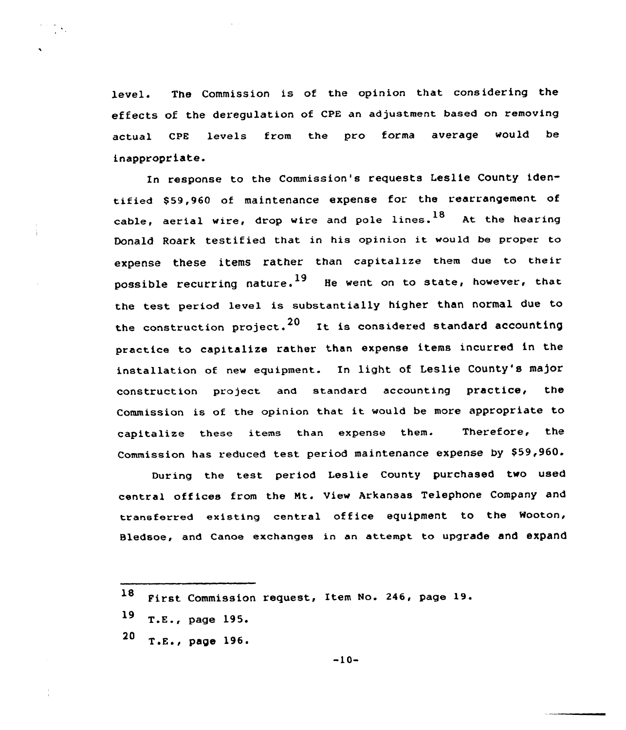level. The Commission is of the opinion that considering the effects of the deregulation of CpE an adjustment based on removing actual CPE levels from the pro forma average would be inappropriate.

In response to the Commission's requests Leslie County identified \$59,960 of maintenance expense for the rearrangement of cable, aerial wire, drop wire and pole lines.  $^{18}$  At the hearing Donald Roark testified that in his opinion it would be proper to expense these items rather than capitalize them due to their possible recurring nature.<sup>19</sup> He went on to state, however, that the test period level is substantially higher than normal due to the construction project.<sup>20</sup> It is considered standard accounting practice to capitalize rather than expense items incurred in the installation of. new equipment. In light of Leslie County's major construction project and standard accounting practice< the Commission is of the opinion that it would be more appropriate to capitalize these items than expense them. Therefore, the Commission has reduced test period maintenance expense by  $$59,960$ .

During the test period Leslie County purchased two used central offices from the Nt. View Arkansas Telephone Company and transferred existing central office equipment to the Wooton, Bledsoe, and Canoe exchanges in an attempt to upgrade and expand

 $19$  T.E., page 195.

ĨΝ,

 $20$  T.E., page 196.

<sup>18</sup> First Commission request, Item No. 246, page 19.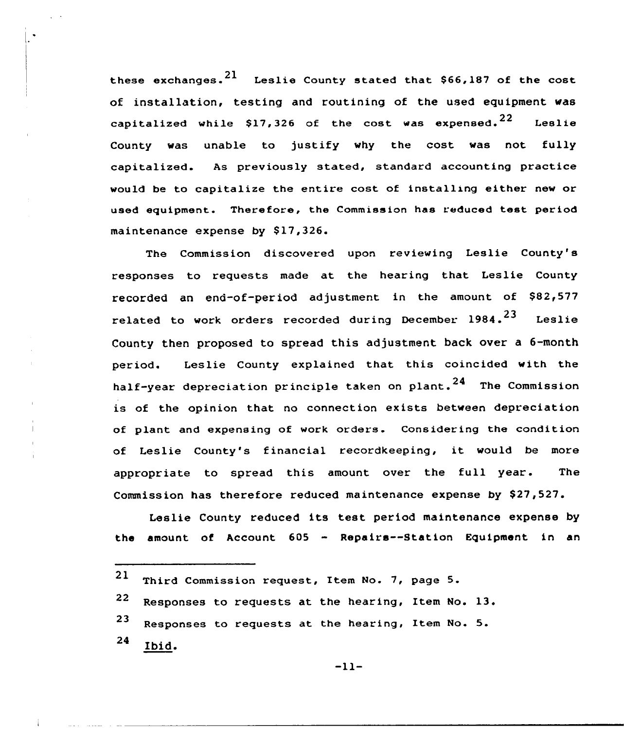these exchanges.  $21$  Leslie County stated that \$66,187 of the cost of installation, testing and routining of the used equipment was capitalized while \$17,326 of the cost was expensed.  $22$  Leslie County was unable to justify why the cost was not fully capitalized. As previously stated, standard accounting practice would be to capitalize the entire cost of installing either new or used equipment. Therefore, the Commission has reduced test period maintenance expense by \$17,326.

The Commission discovered upon reviewing Leslie County's responses to requests made at the hearing that Leslie County recorded an end-of-period adjustment in the amount of \$82,577 related to work orders recorded during December  $1984.$ <sup>23</sup> Leslie County then proposed to spread this adjustment back over a 6-month period. Leslie County explained that this coincided with the half-year depreciation principle taken on plant.  $24$  The Commission is of the opinion that no connection exists between depreciation of plant and expensing of work orders. Considering the condition of Leslie County's financial recordkeeping, it would be more appropriate to spread this amount over the full year. The Commission has therefore reduced maintenance expense by \$27,527.

Leslie County reduced its test period maintenance expense by the amount of Account 605 - Repairs--Station Equipment in an

21 Third Commission request, Item No. 7, page 5. 22 Responses to requests at the hearing, Item No. 13. <sup>23</sup> Responses to requests at the hearing, Item No. 5. 24 Ibid.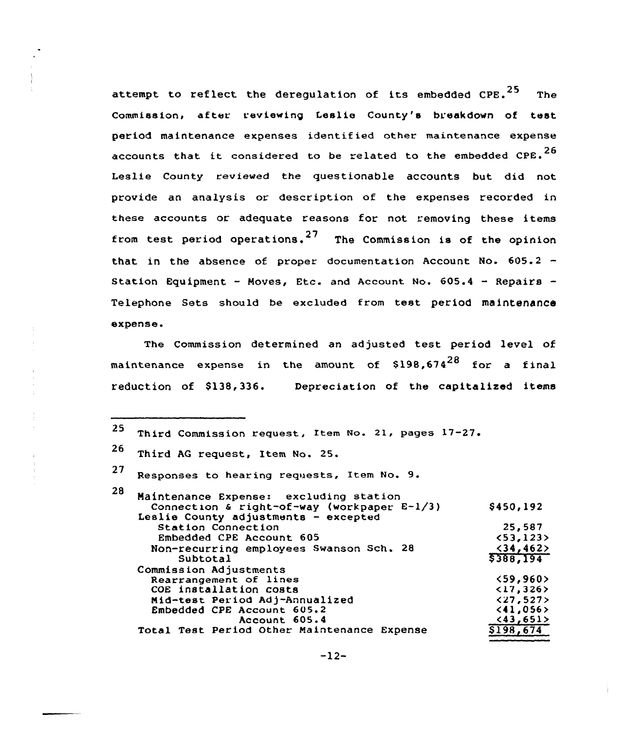attempt to reflect the deregulation of its embedded  $CPE.^{25}$  The Commission, after reviewing Leslie County's breakdown of test period maintenance expenses identif ied other maintenance expense accounts that it considered to be related to the embedded  $CPE.^{26}$ Leslie County reviewed the questionable accounts but did not provide an analysis or description of the expenses recorded in these accounts or adequate reasons for not removing these items from test period operations.<sup>27</sup> The Commission is of the opinion that in the absence of proper documentation Account No.  $605.2 -$ Station Equipment - Moves, Etc. and Account No.  $605.4$  - Repairs -Telephone Sets should be excluded from test period maintenance expense.

The Commission determined an adjusted test period level of maintenance expense in the amount of  $$198,674^{28}$  for a final reduction of \$138,336. Depreciation of the capitalized items

| 25. | Third Commission request, Item No. 21, pages 17-27.        |                           |
|-----|------------------------------------------------------------|---------------------------|
| 26  | Third AG request, Item No. 25.                             |                           |
| 27  | Responses to hearing requests, Item No. 9.                 |                           |
| 28  | Maintenance Expense: excluding station                     |                           |
|     | Connection & right-of-way (workpaper E-1/3)                | \$450,192                 |
|     | Leslie County adjustments - excepted<br>Station Connection | 25,587                    |
|     | Embedded CPE Account 605                                   | <53,123>                  |
|     | Non-recurring employees Swanson Sch. 28                    | $<$ 34,462>               |
|     | Subtotal                                                   | \$388,194                 |
|     | Commission Adjustments                                     |                           |
|     | Rearrangement of lines                                     | $\langle 59, 960 \rangle$ |
|     | COE installation costs                                     | $\langle 17, 326 \rangle$ |
|     | Mid-test Period Adj-Annualized                             | $\langle 27, 527 \rangle$ |
|     | Embedded CPE Account 605.2                                 | < 41,056>                 |
|     | Account 605.4                                              | (43, 651)                 |
|     | Total Test Period Other Maintenance Expense                | \$198,674                 |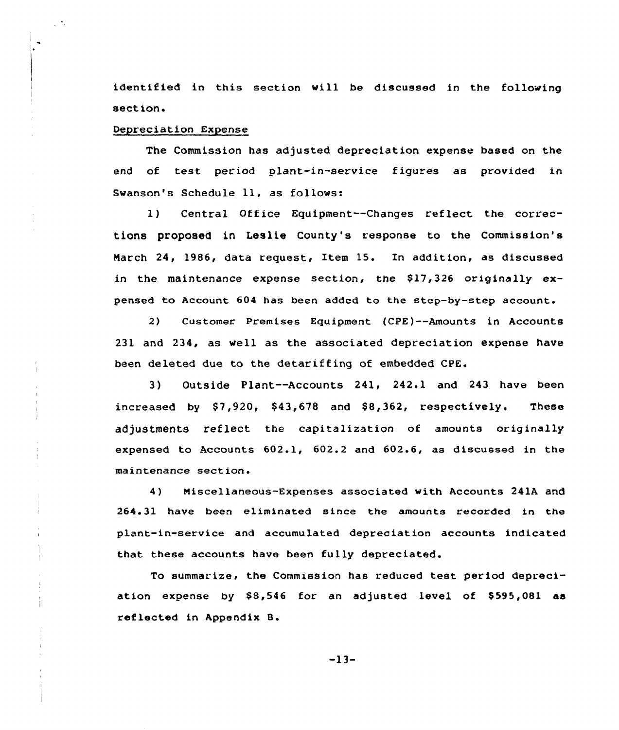identified in this section will be discussed in the following section.

# Depreciation Expense

The Commission has adjusted depreciation expense based on the end of test period plant-in-service figures as provided in Swanson's Schedule ll, as follows:

1) Central Office Equipment--Changes reflect. the corrections proposed in Leslie County's response to the Commission's March 24, 1986, data request, Item 15. In addition, as discussed in the maintenance expense section, the  $$17,326$  originally expensed to Account 604 has been added to the step-by-step account.

2) Customer Premises Equipment (CPE)--Amounts in Accounts 231 and 234, as well as the associated depreciation expense have been deleted due to the detariffing of embedded CPE.

3) Outside Plant--Accounts 241, 242.1 and 243 have been increased by  $$7,920$ ,  $$43,678$  and  $$8,362$ , respectively. These adjustments reflect the capitalization of amounts originally expensed to Accounts 602.1, 602.2 and 602.6, as discussed in the maintenance section.

4) Miscellaneous-Expenses associated with Accounts 241A and 264.31 have been eliminated since the amounts recorded in the plant-in-service and accumulated depreciation accounts indicated that these accounts have been fully depreciated.

To summarize, the Commission has reduced test period depreciation expense by \$8,546 for an adjusted level of \$595,081 as reflected in Appendix 8.

-13-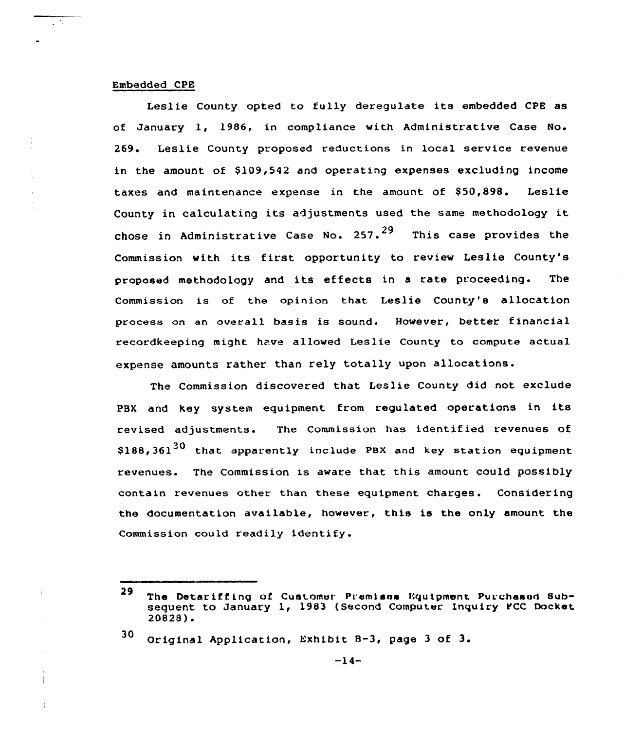## Embedded CPE

ŢΞ.

Leslie County opted to fully deregulate its embedded CPE as of January 1, 1986, in compliance with Administrative Case No. 269. Leslie County proposed reductions in local service revenue in the amount of \$109,542 and operating expenses excluding income taxes and maintenance expense in the amount of \$50,898. Leslie County in calculating its adjustments used the same methodology it chose in Administrative Case No. 257. $^{29}$  This case provides the Commission with its first opportunity to review Leslie County's proposed methodology and its effects in a rate proceeding. The Commission is of the opinion that Leslie County's allocation process on an overall basis is sound. However, better financial recordkeeping might have allowed Leslie County to compute actual expense amounts rather than rely totally upon allocations.

The Commission discovered that Leslie County did not exclude PBX and key system equipment from regulated operations in its revised adjustments. The Commission has identified revenues of \$188,361<sup>30</sup> that apparently include PBX and key station equipment revenues. The Commission is aware that this amount could possibly contain revenues other than these equipment charges. Considering the documentation available, however, this is the only amount the Commission could readily identify.

<sup>30</sup> Original Application, Exhibit 8-3, page <sup>3</sup> of 3.

<sup>29</sup> The Detariffing of Customer Premisss Equipment Purchased Subsequent to January 1, 1983 (Second Computer Inquiry PCC Docket 20828).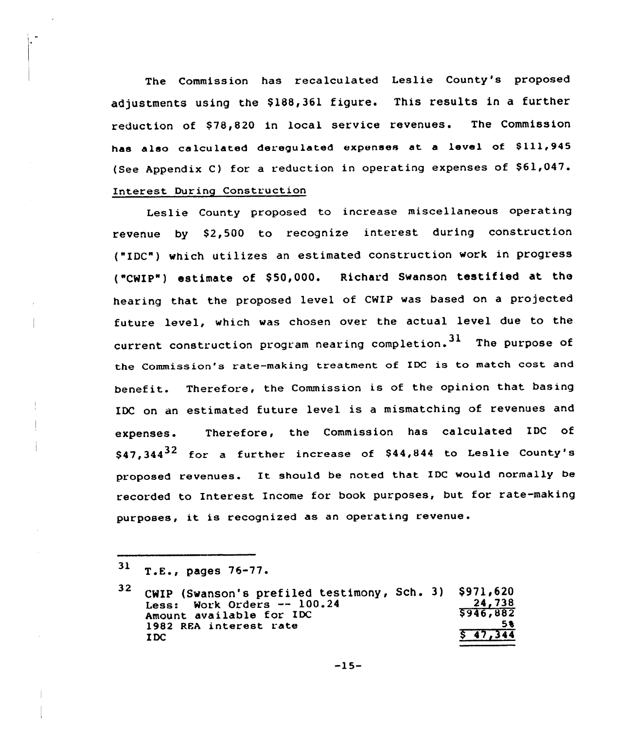The Commission has recalculated Leslie County's proposed adjustments using the \$188,361 figure. This results in a further reduction of \$78,820 in local service revenues. The Commission has also calculated deregulated expenses at a level of \$111,945 (See Appendix C) for a reduction in operating expenses of  $$61,047$ . Interest During Construction

Leslie County proposed to increase miscellaneous operating revenue by \$2,500 to recognize interest during construction ("IDC") which utilizes an estimated construction work in progress ("CWIP") estimate of \$50,000. Richard Swanson testified at the hearing that the proposed level of CWIP was based on a projected future level, which was chosen over the actual level due to the current construction program nearing completion.  $31$  The purpose of the Commission's rate-making treatment of IDC is to match cost and benefit. Therefore, the Commission is of the opinion that basing IDC on an estimated future level is a mismatching of revenues and expenses. Therefore, the Commission has calculated IDC of  $$47,344^{32}$$  for a further increase of \$44,844 to Leslie County's proposed revenues. It should be noted that IDC would normally be recorded to Interest Income for book purposes, but for rate-making purposes, it is recognized as an operating revenue.

 $31$  T.E., pages 76-77.

<sup>32</sup> CWIP (Swanson's prefiled testimony, Sch. 3) \$971,620 Less: Work Orders -- 100.24 Amount available for IDC 1982 REA interest rate I DC \$971,620<br>24.738 \$ 946~882 5% <u>\$47,344</u>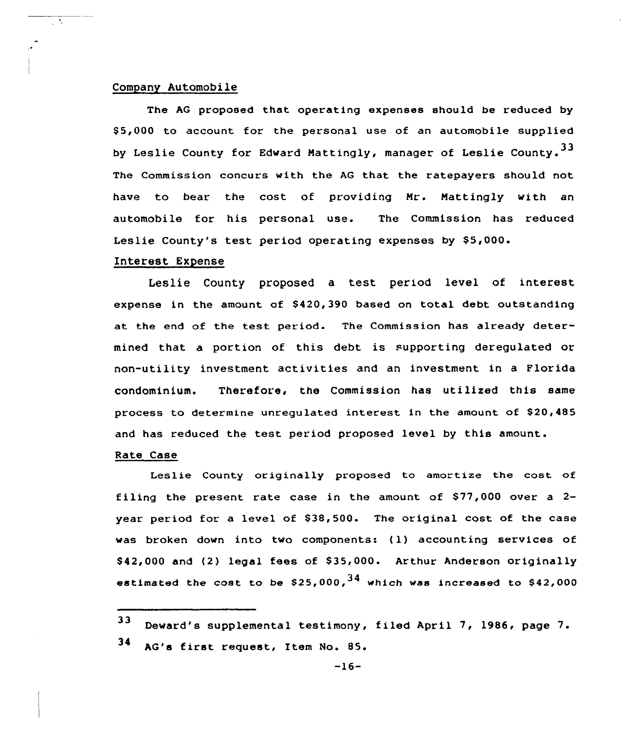## Company Automobile

 $\overline{\mathbb{R}^2}$ 

The AG proposed that operating expenses should be reduced by S5,000 to account for the personal use of an automobile supplied by Leslie County for Edward Mattingly, manager of Leslie County. 33 The Commission concurs with the AG that the ratepayers should not have to bear the cost of providing Mr. Mattingly with an automobile for his personal use. The Commission has reduced Leslie County's test period operating expenses by S5,000.

## Interest Expense

Leslie County proposed a test period level of interest expense in the amount of S420,390 based on total debt outstanding at the end of the test period. The Commission has already determined that a portion of this debt is supporting deregulated or non-utility investment activities and an investment in a Florida condominium. Therefore, the Commission has utilized this same process to determine unregulated interest in the amount of S20,485 and has reduced the test period proposed level by this amount.

# Rate Case

Leslie County originally proposed to amortize the cost of filing the present rate case in the amount of  $$77,000$  over a 2year period for a level of S38,500. The original cost of the case was broken down into two components: (1) accounting services of \$ 42,000 and (2) legal fees of S35,000. Arthur Anderson originally estimated the cost to be  $$25,000<sub>1</sub><sup>34</sup>$  which was increased to  $$42,000$ 

<sup>33</sup> Deward's supplemental testimony, filed April 7, 1986, page 7. 34 AG's first request, Item No. 85.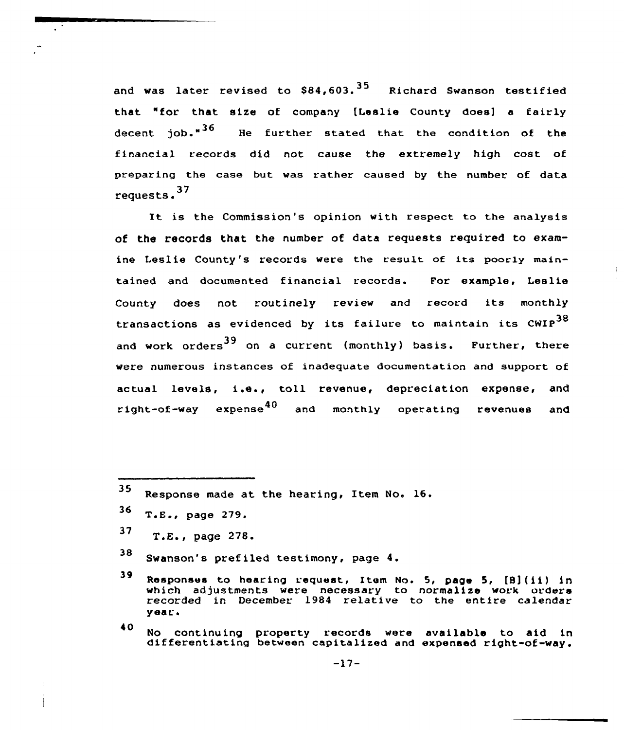and was later revised to  $$84.603$ .  $^{35}$  Richard Swanson testified that "for that size of company tLeslie County does] a fairly decent job."<sup>36</sup> He further stated that the condition of the financial records did not cause the extremely high cost of preparing the case but was rather caused by the number of data <sup>37</sup> requests.

It is the Commission's opinion with respect to the analysis of the records that the number of data requests required to examine Leslie County's records were the result of its poorly maintained and documented financial records. For example, Leslie County does not routinely review and record its monthly transactions as evidenced by its failure to maintain its  $\text{CWIP}^{38}$ and work orders<sup>39</sup> on a current (monthly) basis. Further, there were numerous instances of inadequate documentation and support of actual levels, i.e., toll revenue, depreciation expense, and right-of-way expense<sup>40</sup> and monthly operating revenues and

- $36$  T.E., page 279.
- <sup>37</sup> T.E., page 278.
- <sup>38</sup> Swanson's pref iled testimony, page 4.

40 No continuing property records were available to aid in differentiating between capitalized and expensed right-of-way.

<sup>35</sup> Response made at the hearing, Item No. 16.

<sup>39</sup> Responses to hearing request, Item No. 5, page 5, [B](ii) in which adjustments were necessary to normalize work orders recorded in December 1984 relative to the entire calendar year <sup>~</sup>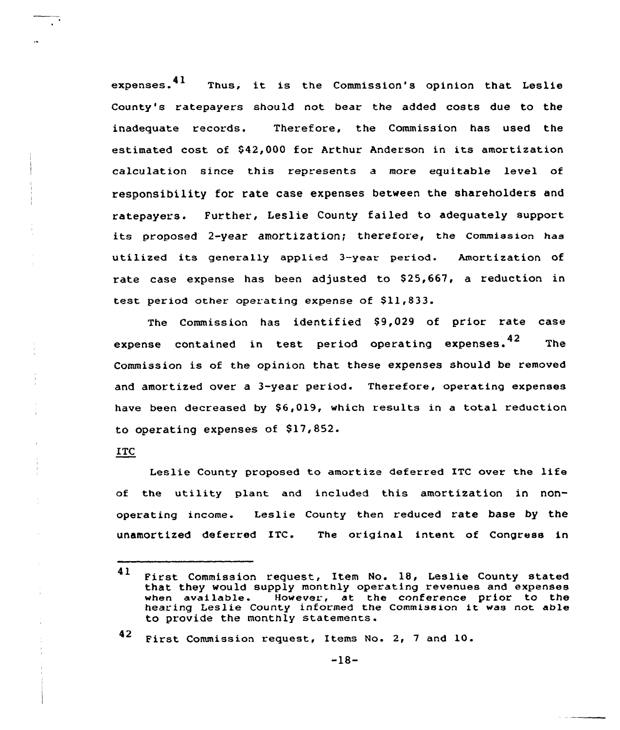expenses. ${\bf 41}$ Thus, it is the Commission's opinion that Leslie County's ratepayers should not bear the added costs due to the inadequate records. Therefore, the Commission has used the estimated cost of \$42,000 for Arthur Anderson in its amortization calculation since this represents a more equitable level of responsibility for rate case expenses between the shareholders and ratepayers. Further, Leslie County failed to adequately support its proposed 2-year amortization; therefore, the Commission has utilized its generally applied 3-year period. Amortization of rate case expense has been adjusted to \$25,667, a reduction in test period other operating expense of  $$11,833$ .

The Commission has identified \$9,029 of prior rate case expense contained in test period operating expenses.<sup>42</sup> The Commission is of the opinion that these expenses should be removed and amortized over a 3-year period. Therefore, operating expenses have been decreased by \$6,019, which results in a total reduction to operating expenses of \$17,852.

## ITC

Leslie County proposed to amortize deferred ITC over the life of the utility plant and included this amortization in nonoperating income. Leslie County then reduced rate base by the unamortized deferred ITC. The original intent of Congress in

<sup>42</sup> First Commission request, Items No. 2, <sup>7</sup> and 10.

<sup>41</sup> First Commission request, Item No. 18, Leslie County stated that they would supply monthly operating revenues and expenses when available. However, at the conference prior to the hearing Leslie County informed the Commission it was not able to provide the monthly statements.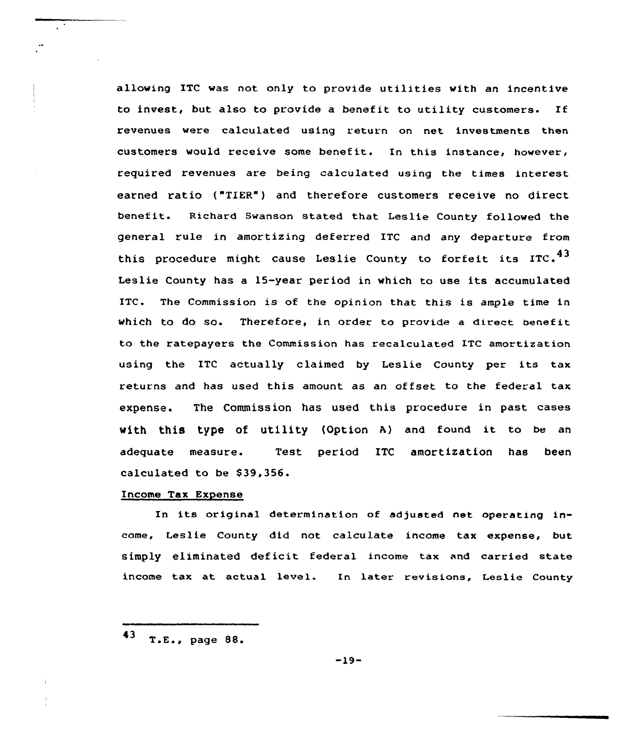allowing ITC was not only to provide utilities with an incentive to invest, but also to provide a benefit to utility customers. If revenues were calculated using return on net investments then customers would receive some benefit. In this instance, however, required revenues are being calculated using the times interest earned ratio ("TIER") and therefore customers receive no direct benefit. Richard Swanson stated that Leslie County followed the general rule in amortizing deferred ITC and any departure from this procedure might cause Leslie County to forfeit its ITC.<sup>43</sup> Leslie County has a 15-year period in which to use its accumulated ITC. The Commission is of the opinion that this is ample time in which to do so. Therefore, in order to provide a direct benefit to the ratepayers the Commission has recalculated ITC amortization using the ITC actually claimed by Leslie County per its tax returns and has used this amount as an offset to the federal tax expense. The Commission has used this procedure in past cases with this type of utility (Option A) and found it to be an adequate measure. Test period ITC amortization has been calculated to be \$39,356.

# Income Tax Expense

In its original determination of adjusted net operating income, Leslie County did not calculate income tax expense, but simply eliminated deficit federal income tax and carried state income tax at actual level. In later revisions, Leslie County

<sup>43</sup> T.E., page 88.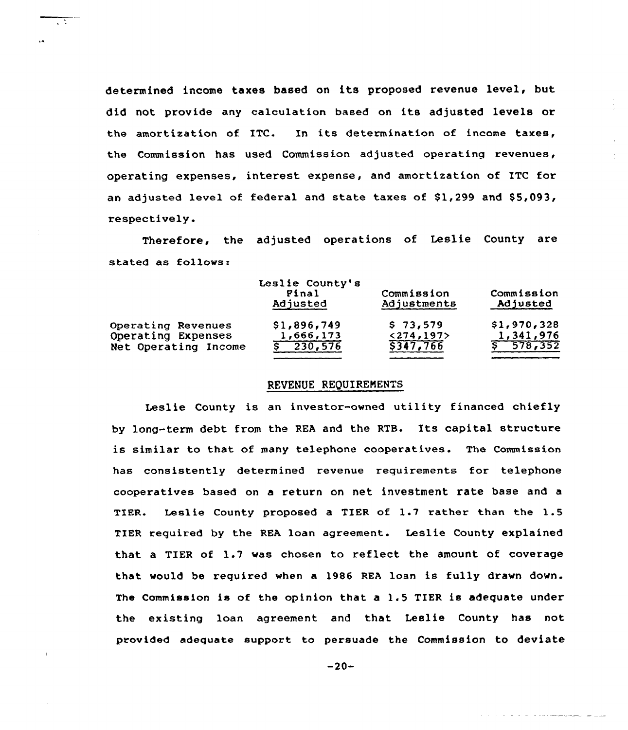determined income taxes based on its proposed revenue level, but did not provide any calculation based on its adjusted levels or the amortization of ITC. In its determination of income taxes, the Commission has used Commission adjusted operating revenues, operating expenses, interest expense, and amortization of ITC for an adjusted level of federal and state taxes of  $$1,299$  and  $$5,093$ , respectively.

73

Therefore, the adjusted operations of Leslie County are stated as fo11ows:

|                      | Leslie County's<br>Final<br>Adjusted | Commission<br>Adjustments | Commission<br>Adjusted |  |  |
|----------------------|--------------------------------------|---------------------------|------------------------|--|--|
| Operating Revenues   | \$1,896,749                          | \$73,579                  | \$1,970,328            |  |  |
| Operating Expenses   | 1,666,173                            | < 274, 197                | 1,341,976              |  |  |
| Net Operating Income | 230,576                              | \$347,766                 | 5 578, 352             |  |  |

# REVENUE REQUIREMENTS

Leslie County is an investor-owned utility financed chiefly by lang-term debt from the REA and the RTB. Its capital structure is similar to that of many telephone cooperatives. The Commission has consistently determined revenue requirements for telephone cooperatives based on a return on net investment rate base and a TIER. Leslie County proposed a TIER of 1.7 rather than the 1.5 TIER required by the REA loan agreement. Leslie County explained that a TIER of 1.7 was chosen to reflect the amount of coverage that would be required when a 1986 REA loan is fully drawn down. The Commission is of the opinion that <sup>a</sup> 1.5 TIER is adequate under the existing loan agreement and that Leslie County has not provided adequate support to persuade the Commission to deviate

 $-20-$ 

and the company of the company of the company of the company of the company of the company of the company of the company of the company of the company of the company of the company of the company of the company of the comp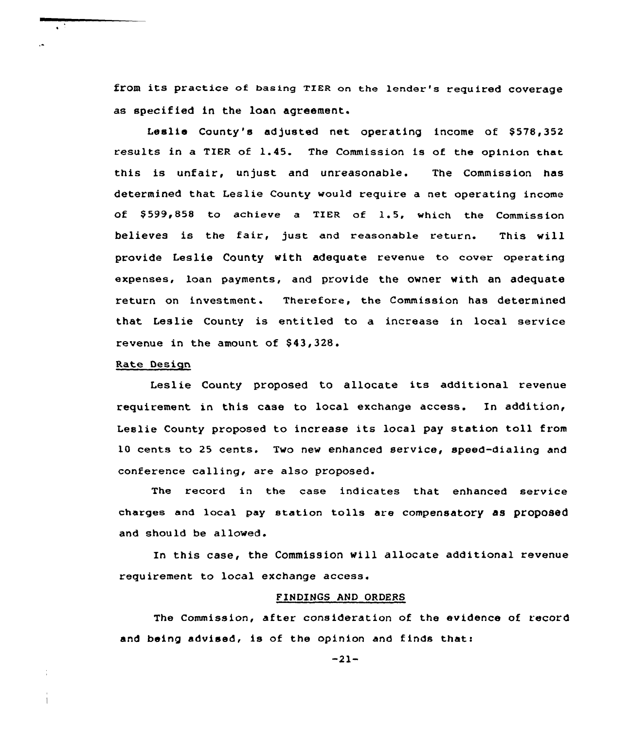from its practice of basing TIER on the lender's required coverage as specified in the loan agreement.

Leslie County's adjusted net operating income of \$578,352 results in a TIER of 1.45. The Commission is of the opinion that this is unfair, unjust and unreasonable. The Commission has determined that Leslie County would require a net operating income of \$ 599,858 to achieve <sup>a</sup> TIER of 1.5, which the Commission believes is the fair, just and reasonable return. This will provide Leslie County with adequate revenue to cover operating expenses, loan payments, and provide the owner with an adequate return on investment. Therefore, the Commission has determined that Leslie County is entitled to a increase in local service revenue in the amount of \$43,328.

### Rate Design

Leslie County proposed to allocate its additional revenue requirement in this case to local exchange access. In addition, Leslie County proposed to increase its local pay station toll from 10 cents to 25 cents. Two new enhanced service, speed-dialing and conference calling, are also proposed.

The record in the case indicates that enhanced service charges and local pay station tolls are compensatory as proposed and should be allowed.

In this case, the Commission Mill allocate additional revenue requirement to local exchange access.

## FINDINGS AND ORDERS

The Commission, after consideration of the evidence of record and being advised, is of the opinion and finds that:

-21-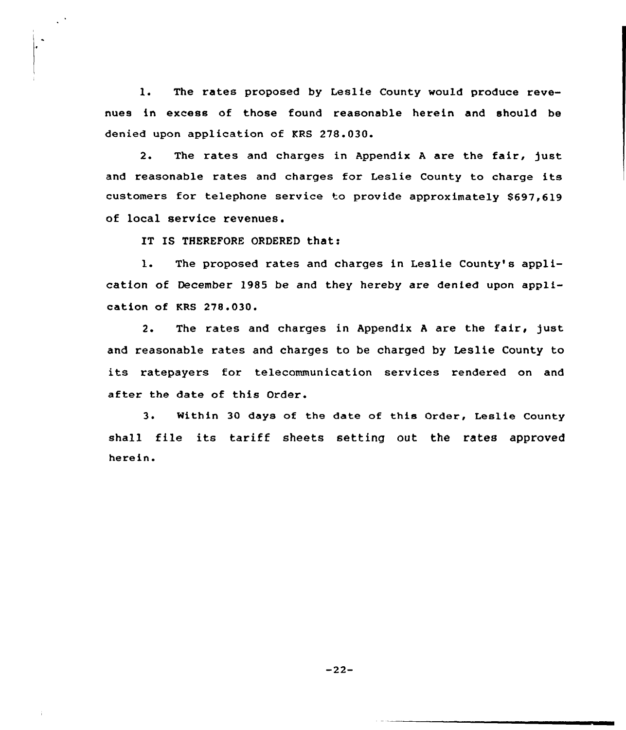1. The rates proposed by Leslie County would produce revenues in excess of those found reasonable herein and should be denied upon application of KRS 278.030.

2. The rates and charges in Appendix <sup>A</sup> are the fair, just and reasonable rates and charges for Leslie County to charge its customers for telephone service to provide approximately \$697,619 of local service revenues.

IT IS THEREFORE ORDERED that:

l. The proposed xates and chaxges in Leslie County's application of December 1985 be and they hereby are denied upon application of KRS 278.030.

2. The rates and charges in Appendix A are the fair, just and reasonable rates and charges to be charged by Leslie County to its ratepayers for telecommunication services rendered on and after the date of this Order.

3. Within 30 days of the date of this Order, Leslie County shall file its tariff sheets setting out the rates approved herein.

-22-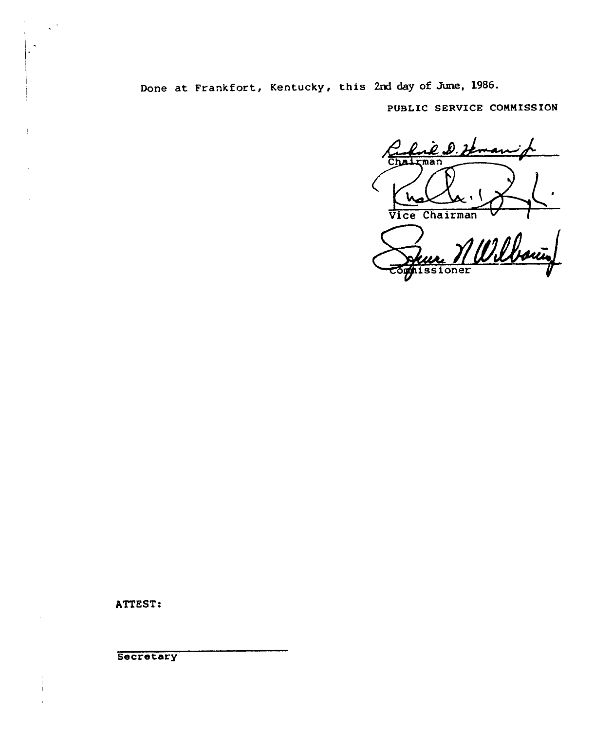Done at Frankfort, Kentucky, this 2nd day of June, 1986.

PUBLIC SERUICE COMMISSION

 $\boldsymbol{\dot{\ell}}$  .b .  $\boldsymbol{\lambda}$ Chairman Vice Chairman

ner MWilboury

ATTEST:

 $\mathcal{L}^{(1)}$ 

**Secretary**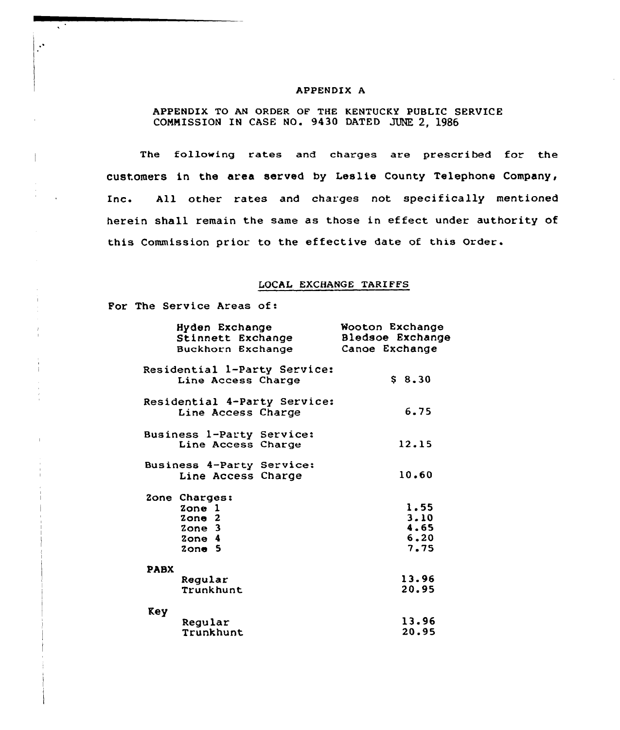#### APPENDIX A

# APPENDIX TO AN ORDER OF THE KENTUCKY PUBLIC SERVICE COMMISSION IN CASE NO. 9430 DATED JUNE 2, 1986

The following rates and charges are prescribed for the customers in the area served by Leslie County Telephone Company, Inc. All other rates and charges not specifically mentioned herein shall remain the same as those in effect under authority of this Commission prior to the effective date of this Order.

### LOCAL EXCHANGE TARIFFS

For The Service Areas of:

s.

 $\ddot{\phantom{0}}$ 

| Hyden Exchange<br>Stinnett Exchange<br>Buckhorn Exchange | Wooton Exchange<br>Bledsoe Exchange<br>Canoe Exchange |
|----------------------------------------------------------|-------------------------------------------------------|
|                                                          |                                                       |
| Residential l-Party Service:                             |                                                       |
| Line Access Charge                                       | $S_8.30$                                              |
| Residential 4-Party Service:                             |                                                       |
| Line Access Charge                                       | 6.75                                                  |
| Business 1-Party Service:                                |                                                       |
| Line Access Charge                                       | 12.15                                                 |
| Business 4-Party Service:                                |                                                       |
| Line Access Charge                                       | 10.60                                                 |
| Zone Charges:                                            |                                                       |
| Zone 1                                                   | 1.55                                                  |
| $2$ one $2$                                              | 3.10                                                  |
| Zone 3                                                   | 4.65                                                  |
| $2$ one $4$                                              | 6.20                                                  |
| $2$ one $5$                                              | 7.75                                                  |
| <b>PABX</b>                                              |                                                       |
| Regular                                                  | 13.96                                                 |
| Trunkhunt                                                | 20.95                                                 |
| Key                                                      |                                                       |
| Regular                                                  | 13.96                                                 |
| Trunkhunt                                                | 20.95                                                 |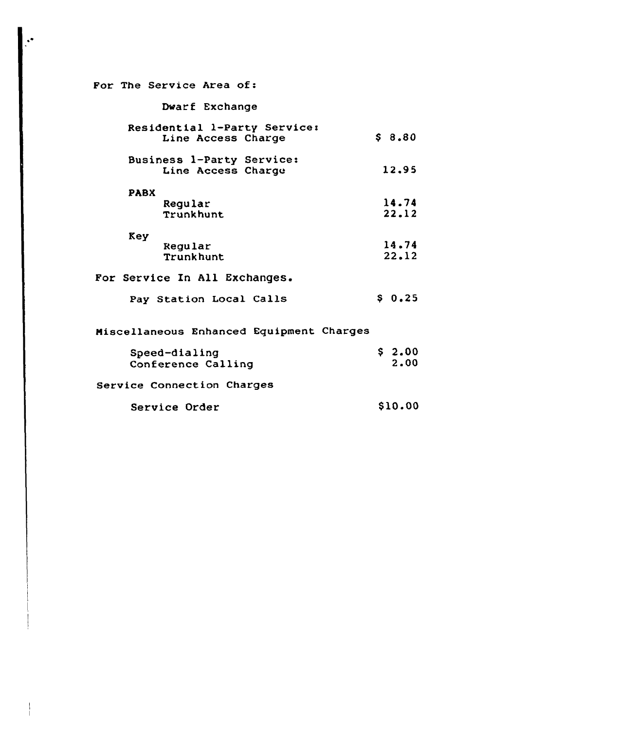| For The Service Area of:                           |                |  |
|----------------------------------------------------|----------------|--|
| Dwarf Exchange                                     |                |  |
| Residential 1-Party Service:<br>Line Access Charge | \$8.80         |  |
| Business 1-Party Service:<br>Line Access Charge    | 12.95          |  |
| <b>PABX</b><br>Regular<br><b>Trunkhunt</b>         | 14.74<br>22.12 |  |
| Key<br>Regular<br>Trunkhunt                        | 14.74<br>22.12 |  |
| For Service In All Exchanges.                      |                |  |
| Pay Station Local Calls                            | \$0.25         |  |
| Miscellaneous Enhanced Equipment Charges           |                |  |
| Speed-dialing<br>Conference Calling                | \$2.00<br>2.00 |  |
| Service Connection Charges                         |                |  |

Service Order \$10.00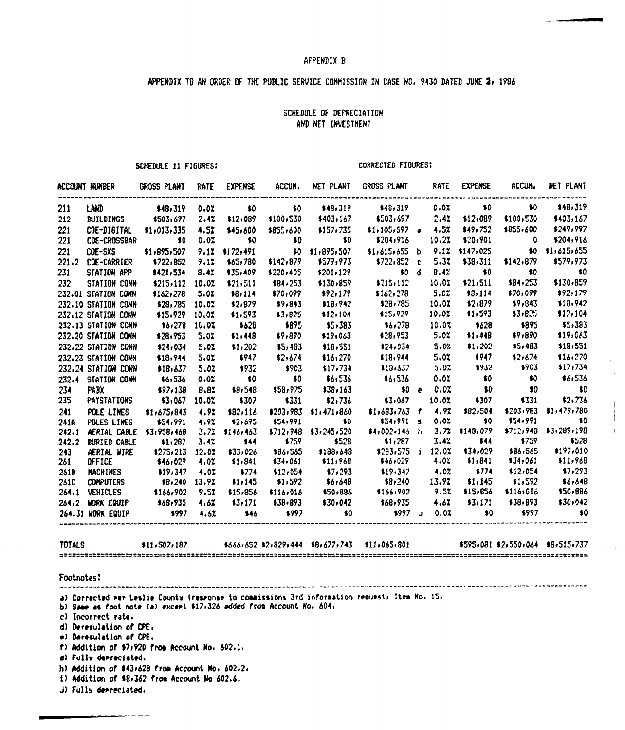#### APPEHDIX B

# APPENDIX TO AN ORDER OF THE PUBLIC SERVICE COMMISSION IN CASE NO. 9430 DATED JUNE 2, 1986

# SCHEDULE OF DEPRECIATION AND HET INVESTMENT

SCHEDULE 11 FIGURES:

CORRECTED FIGURES:

 $\parallel$ 

|               | account number --- Gross plant -- Rate -- Expense -- Accum --                                                        |                    |       |                               |                               | NET PLANT               | GROSS PLANT RATE                                                                 |       | EXPENSE             | accum.                        | NET PLANT                     |
|---------------|----------------------------------------------------------------------------------------------------------------------|--------------------|-------|-------------------------------|-------------------------------|-------------------------|----------------------------------------------------------------------------------|-------|---------------------|-------------------------------|-------------------------------|
| 211           | LAND                                                                                                                 | \$48,319           | 0.02  | $\bullet$ $\bullet$ $\bullet$ |                               |                         | \$0 \$48,319 \$48,319 0.0% \$0                                                   |       |                     | $\bullet$ $\bullet$ $\bullet$ | 148,319                       |
| 212           | BUILDINGS \$503,697                                                                                                  |                    | 2.47  | \$12,089                      | \$100,530                     | \$403,167               | \$503,697                                                                        | 2.42  | \$12,089            | \$100,530                     | \$403,167                     |
| 221           | COE-DIGITAL                                                                                                          | \$1,013,335        | 4.5%  | \$45,600                      | \$855,600                     | \$157,735               | $$1,105,597$ a 4.5%                                                              |       | \$49,752            | \$855,600                     | \$249,997                     |
| 221           | CDE-CROSSBAR                                                                                                         | $\sim$ 40          | 0.02  | $\bullet$ 60                  | $\bullet$ 50                  | $\sim$ 50               | \$204,916                                                                        | 10.2% | \$20,901            | $\overline{a}$ $\overline{a}$ | \$204,916                     |
| 221           | COE-SXS                                                                                                              | \$1,895,507        | 9.12  | \$172,491                     |                               | \$0 \$1,895,507         | $$1,615,655$ b                                                                   |       | $9.12$ \$147,025    |                               | $$0$ $$1,615,655$             |
|               | 221.2 COE-CARRIER                                                                                                    | \$722,852          | 9.17  | \$65,780                      | \$142,879                     | \$579,973               | $$722,852$ c                                                                     | 5.3x  | \$38,311            | \$142,879                     | \$579,973                     |
| 231           | STATION APP                                                                                                          | \$421,534          | 8.47  | \$35,409                      | \$220,405                     | \$201.129               |                                                                                  | 8.42  | $\bullet$ $\bullet$ | $\sim$ 50                     | $\sim$ 80                     |
| 232           | STATION CONN                                                                                                         | \$215,112 10.02    |       | \$21,511                      | \$84,253                      | \$130,859               | $\begin{array}{c} 60 \text{ d} \\ 12 \text{ s} \end{array}$                      | 10.07 | \$21,511            | \$84,253                      | \$130,859                     |
|               | 232.01 STATION CONN                                                                                                  | \$162,278          | 5.OZ  | \$8,114                       | \$70,099                      | \$92,179                | $$162,278$ 5.02                                                                  |       | \$8,114             | \$70,099                      | \$92,179                      |
|               | 232.10 STATION CONN                                                                                                  | \$28,785 10.02     |       | \$2,879                       | \$9,843                       | \$18,942                | \$28,785                                                                         | 10.07 | \$2,879             | \$9,843                       | \$18,942                      |
|               | 232.12 STATION CONN                                                                                                  | \$15,929           | 10.02 | \$1,593                       | \$3,825                       | \$12,104                | \$15,929                                                                         | 10.0% | \$1,593             | 33,825                        | \$17,104                      |
|               | 232.13 STATION COMM                                                                                                  | 86,278             | 10.01 | \$628                         | \$895                         | \$5,383                 | \$6,278                                                                          | 10.07 | \$628               | \$895                         | \$5,383                       |
|               | 232.20 STATION CONN                                                                                                  | \$28,953           | 5.02  | \$1,448                       | \$9,890                       | \$19,063                | \$28,953                                                                         | 5.02  | \$1,448             | \$9,890                       | \$19,063                      |
|               | 232.22 STATION CONN                                                                                                  | \$24,034           | 5.02  | \$1,202                       | \$5,483                       | \$18,551                | \$24,034                                                                         | 5.0%  | \$1,202             | \$5,483                       | \$18,551                      |
|               | 232.23 STATION CONN                                                                                                  | \$18,944           | 5.02  | \$947                         | \$2,674                       | \$16,270                | \$18,944                                                                         | 5.02  | \$947               | \$2,674                       | \$16,270                      |
|               | 232.24 STATION CONN                                                                                                  | \$18,637           | 5.02  | \$932                         | \$903                         | \$17,734                | $$13.537$ 5.02                                                                   |       | $*932$              | \$903                         | \$17,734                      |
|               | 232.4 STATION CONN                                                                                                   | 86,536             | 0.02  | $\bullet$                     | $\bullet$ $\bullet$ $\bullet$ | \$6,536                 | \$6,536                                                                          | 0.02  | $\bullet$ 60        | $\bullet$ $\bullet$           | \$6,536                       |
| 234           | <b>PABX</b>                                                                                                          | \$97,138           | 8.82  | \$8,548                       | \$58,975                      | \$38,163                | \$0 e 0.02                                                                       |       | $\bullet$ 50        | $\bullet$ $\bullet$           | $\bullet$ $\bullet$ $\bullet$ |
| 235           | PAYSTATIONS \$3,067                                                                                                  |                    | 10.0% | \$307                         | \$331                         | \$2,736                 | \$3,067                                                                          | 10.07 | \$307               | \$331                         | \$2,736                       |
| 241           | POLE LINES                                                                                                           | 1.675.843          | 4.92  | \$82,116                      |                               | $$203,983$ $$1,471,860$ | $$1,683,763$ $f$ $4.92$                                                          |       | \$82,504            | \$203,983                     | \$1,479,780                   |
| 241A          | POLES LINES                                                                                                          | \$54,991           | 4.92  | \$2,695                       |                               | $$54,991$ \$0           | $$54,991$ s                                                                      | 0.02  | $\bullet$ $\bullet$ | \$54,991                      | $\bullet$ $\bullet$ $\bullet$ |
| 242.1         | AERIAL CABLE                                                                                                         | \$3,958,468        |       | $3.72$ \$146,463              |                               | \$712,948 \$3,245,520   | $14,002,146$ h                                                                   | 3.72  | \$148,079           | \$712,943                     | \$3,289,198                   |
|               | 242.2 BURIED CABLE<br><b>EURIED CABLE 51,287<br/> AERIAL WIRE 5275,213<br/> OFFICE 546,029<br/> MACHINES 519,347</b> |                    | 3.42  | $\frac{1}{2}$                 | \$759                         | \$528                   | $$1,287$ $$3.42$<br>$$283,575$ $$12.02$                                          |       | $\frac{1}{2}$       | \$759                         | \$528                         |
| $243 -$       |                                                                                                                      | $$275,213$ $12.02$ |       | \$33,026                      | \$86,565                      | \$188,648               |                                                                                  |       | \$34,029            | \$86,565                      | \$197,010                     |
| 261           |                                                                                                                      |                    | 4.0%  | \$1,841                       | \$34.061                      | \$11,968                | $$46,029$ $4.02$                                                                 |       | 1,841               | \$34,061                      | \$11,968                      |
| 261B          |                                                                                                                      |                    | 4.02  | \$774                         | \$12,054                      | \$7,293                 | $$19,347$ $4.07$                                                                 |       | 6774                | 112,054                       | \$7,293                       |
| 261C          | CONPUTERS \$8,240 13.92                                                                                              |                    |       | \$1,145                       | \$1,592                       | \$6,648                 | $$8,240$ $13.92$                                                                 |       | \$1.145             | \$1,592                       | \$6,648                       |
|               | 264.1 VEHICLES                                                                                                       | \$166,902          | 9.52  | \$15,856                      | \$116,016                     | \$50,886                | 166,902                                                                          | 9.57  | \$15,856            | \$116,016                     | \$50,886                      |
|               | 264.2 MORK EQUIP \$68,935                                                                                            |                    | 4.62  | 13,171                        | \$38,893                      | \$30,042                | \$68,935                                                                         | 4.67  | \$3.171             | \$38,893                      | \$30,042                      |
|               | 264.31 WORK EQUIP                                                                                                    | $5997$ $4.62$      |       | \$46                          | \$997                         | $\bullet$ $\bullet$     | $1997 \quad j \quad 0.02$                                                        |       | $\bullet$ 50        | \$997                         | $\bullet$ 50                  |
| <b>TOTALS</b> |                                                                                                                      | \$11,507,187       |       |                               |                               |                         | \$666+652 \$2+829+444 \$B+677+743 \$11+065+801 \$595+081 \$2+550+064 \$8+515+737 |       |                     |                               |                               |
| Footnotes:    |                                                                                                                      |                    |       |                               |                               |                         |                                                                                  |       |                     |                               |                               |

a) Corrected mer Leslie County (resmonse to commissions 3rd information request, Item Mo. 15.

b) Same as foot note (a) excert \$17,326 added from Account No. 604.

c) incorrect rate.

d) Deresulation of CPE,

~ <sup>1</sup> Bereluletion of CPE>

f> Addition of \$7>920 froo Account Ho. 602.1.

d) Fully depreciated.

 $h)$  Addition of \$43,628 from Account No. 602.2.

المراسين

i) Addition of \$8,362 from Account No 602.6.

j) Fully depreciated.